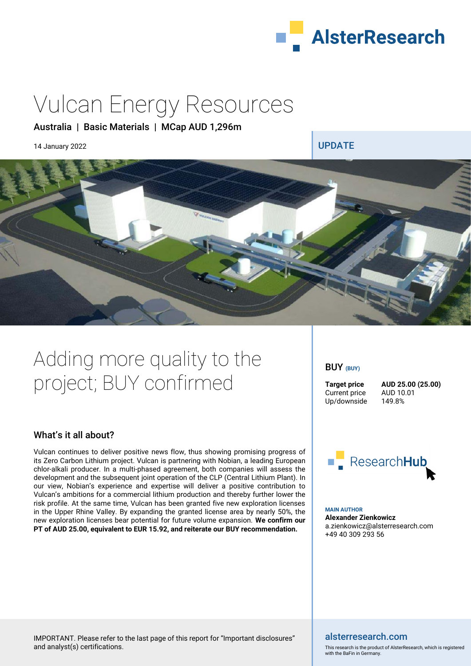

# Vulcan Energy Resources

### Australia | Basic Materials | MCap AUD 1,296m

14 January 2022 **UPDATE** 



# Adding more quality to the project; BUY confirmed

### What's it all about?

Vulcan continues to deliver positive news flow, thus showing promising progress of its Zero Carbon Lithium project. Vulcan is partnering with Nobian, a leading European chlor-alkali producer. In a multi-phased agreement, both companies will assess the development and the subsequent joint operation of the CLP (Central Lithium Plant). In our view, Nobian's experience and expertise will deliver a positive contribution to Vulcan's ambitions for a commercial lithium production and thereby further lower the risk profile. At the same time, Vulcan has been granted five new exploration licenses in the Upper Rhine Valley. By expanding the granted license area by nearly 50%, the new exploration licenses bear potential for future volume expansion. **We confirm our PT of AUD 25.00, equivalent to EUR 15.92, and reiterate our BUY recommendation.**

BUY **(BUY)**

Current price AUD 10.01<br>Up/downside 149.8% Up/downside

**Target price AUD 25.00 (25.00)** 



**MAIN AUTHOR Alexander Zienkowicz**  a.zienkowicz@alsterresearch.com +49 40 309 293 56

### alsterresearch.com

This research is the product of AlsterResearch, which is registered with the BaFin in Germany.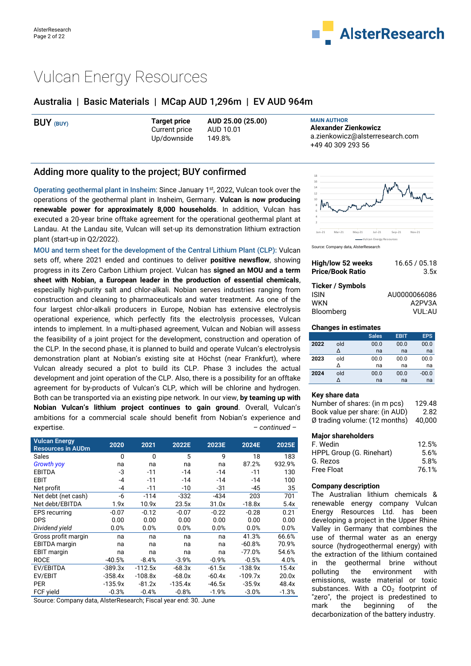

# Vulcan Energy Resources

### Australia | Basic Materials | MCap AUD 1,296m | EV AUD 964m

| BUY (BUY) | <b>Target price</b> | AUD 25.00 (25.00) | <b>MAIN AUTHOR</b>              |
|-----------|---------------------|-------------------|---------------------------------|
|           | Current price       | AUD 10.01         | Alexander Zienkowicz            |
|           | Up/downside         | 149.8%            | a.zienkowicz@alsterresearch.com |
|           |                     |                   | +49 40 309 293 56               |

### Adding more quality to the project; BUY confirmed

Operating geothermal plant in Insheim: Since January 1st, 2022, Vulcan took over the operations of the geothermal plant in Insheim, Germany. **Vulcan is now producing renewable power for approximately 8,000 households**. In addition, Vulcan has executed a 20-year brine offtake agreement for the operational geothermal plant at Landau. At the Landau site, Vulcan will set-up its demonstration lithium extraction plant (start-up in Q2/2022).

MOU and term sheet for the development of the Central Lithium Plant (CLP): Vulcan sets off, where 2021 ended and continues to deliver **positive newsflow**, showing progress in its Zero Carbon Lithium project. Vulcan has **signed an MOU and a term sheet with Nobian, a European leader in the production of essential chemicals**, especially high-purity salt and chlor-alkali. Nobian serves industries ranging from construction and cleaning to pharmaceuticals and water treatment. As one of the four largest chlor-alkali producers in Europe, Nobian has extensive electrolysis operational experience, which perfectly fits the electrolysis processes, Vulcan intends to implement. In a multi-phased agreement, Vulcan and Nobian will assess the feasibility of a joint project for the development, construction and operation of the CLP. In the second phase, it is planned to build and operate Vulcan's electrolysis demonstration plant at Nobian's existing site at Höchst (near Frankfurt), where Vulcan already secured a plot to build its CLP. Phase 3 includes the actual development and joint operation of the CLP. Also, there is a possibility for an offtake agreement for by-products of Vulcan's CLP, which will be chlorine and hydrogen. Both can be transported via an existing pipe network. In our view, **by teaming up with Nobian Vulcan's lithium project continues to gain ground**. Overall, Vulcan's ambitions for a commercial scale should benefit from Nobian's experience and expertise. *– continued –* 

| <b>Vulcan Energy</b><br><b>Resources in AUDm</b> | 2020      | 2021         | 2022E     | 2023E    | 2024E     | 2025E   |
|--------------------------------------------------|-----------|--------------|-----------|----------|-----------|---------|
| Sales                                            | 0         | $\mathbf{0}$ | 5         | 9        | 18        | 183     |
| <b>Growth yoy</b>                                | na        | na           | na        | na       | 87.2%     | 932.9%  |
| <b>EBITDA</b>                                    | -3        | $-11$        | $-14$     | $-14$    | $-11$     | 130     |
| EBIT                                             | -4        | $-11$        | $-14$     | $-14$    | $-14$     | 100     |
| Net profit                                       | -4        | $-11$        | $-10$     | $-31$    | -45       | 35      |
| Net debt (net cash)                              | -6        | $-114$       | $-332$    | -434     | 203       | 701     |
| Net debt/EBITDA                                  | 1.9x      | 10.9x        | 23.5x     | 31.0x    | $-18.8x$  | 5.4x    |
| <b>EPS</b> recurring                             | $-0.07$   | $-0.12$      | $-0.07$   | $-0.22$  | $-0.28$   | 0.21    |
| <b>DPS</b>                                       | 0.00      | 0.00         | 0.00      | 0.00     | 0.00      | 0.00    |
| Dividend yield                                   | 0.0%      | 0.0%         | 0.0%      | 0.0%     | 0.0%      | 0.0%    |
| Gross profit margin                              | na        | na           | na        | na       | 41.3%     | 66.6%   |
| <b>EBITDA</b> margin                             | na        | na           | na        | na       | $-60.8%$  | 70.9%   |
| <b>EBIT</b> margin                               | na        | na           | na        | na       | $-77.0%$  | 54.6%   |
| <b>ROCE</b>                                      | $-40.5%$  | $-8.4%$      | $-3.9%$   | $-0.9%$  | $-0.5%$   | 4.0%    |
| EV/EBITDA                                        | $-389.3x$ | $-112.5x$    | $-68.3x$  | $-61.5x$ | $-138.9x$ | 15.4x   |
| EV/EBIT                                          | $-358.4x$ | $-108.8x$    | $-68.0x$  | $-60.4x$ | $-109.7x$ | 20.0x   |
| <b>PER</b>                                       | $-135.9x$ | $-81.2x$     | $-135.4x$ | -46.5x   | $-35.9x$  | 48.4x   |
| FCF yield                                        | $-0.3%$   | $-0.4%$      | $-0.8%$   | $-1.9%$  | $-3.0%$   | $-1.3%$ |

Source: Company data, AlsterResearch; Fiscal year end: 30. June



Source: Company data, AlsterResearch

| High/low 52 weeks       | 16.65 / 05.18 |
|-------------------------|---------------|
| <b>Price/Book Ratio</b> | 3.5x          |
| Ticker / Symbols        |               |
| <b>ISIN</b>             | AU0000066086  |
| <b>WKN</b>              | A2PV3A        |
| Bloomberg               | VUL:AU        |

#### **Changes in estimates**

|      |     | <b>Sales</b> | <b>EBIT</b> | <b>EPS</b> |
|------|-----|--------------|-------------|------------|
| 2022 | old | 00.0         | 00.0        | 00.0       |
|      | Δ   | na           | na          | na         |
| 2023 | old | 00.0         | 00.0        | 00.0       |
|      |     | na           | na          | na         |
| 2024 | old | 00.0         | 00.0        | $-00.0$    |
|      |     | na           | na          | na         |

#### **Key share data**

| Number of shares: (in m pcs)            | 129.48 |
|-----------------------------------------|--------|
| Book value per share: (in AUD)          | 2.82   |
| $\emptyset$ trading volume: (12 months) | 40.000 |
|                                         |        |

#### **Major shareholders**

| F. Wedin                 | 12.5% |
|--------------------------|-------|
| HPPL Group (G. Rinehart) | 5.6%  |
| G. Rezos                 | 5.8%  |
| <b>Free Float</b>        | 76.1% |

#### **Company description**

The Australian lithium chemicals & renewable energy company Vulcan Energy Resources Ltd. has been developing a project in the Upper Rhine Valley in Germany that combines the use of thermal water as an energy source (hydrogeothermal energy) with the extraction of the lithium contained in the geothermal brine without polluting the environment with emissions, waste material or toxic substances. With a  $CO<sub>2</sub>$  footprint of "zero", the project is predestined to mark the beginning of the decarbonization of the battery industry.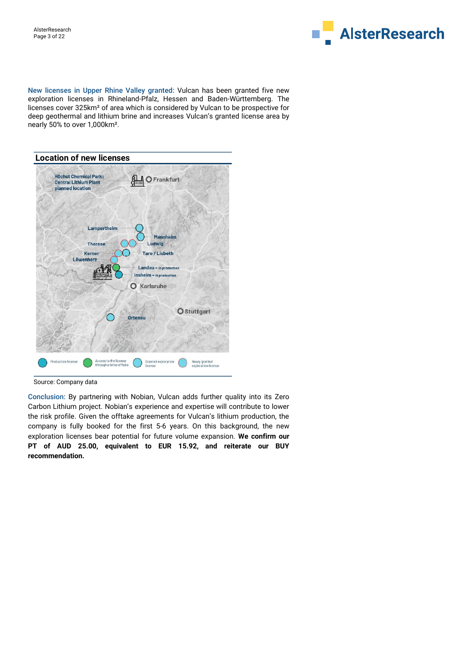

New licenses in Upper Rhine Valley granted: Vulcan has been granted five new exploration licenses in Rhineland-Pfalz, Hessen and Baden-Württemberg. The licenses cover 325km² of area which is considered by Vulcan to be prospective for deep geothermal and lithium brine and increases Vulcan's granted license area by nearly 50% to over 1,000km².



#### Source: Company data

Conclusion: By partnering with Nobian, Vulcan adds further quality into its Zero Carbon Lithium project. Nobian's experience and expertise will contribute to lower the risk profile. Given the offtake agreements for Vulcan's lithium production, the company is fully booked for the first 5-6 years. On this background, the new exploration licenses bear potential for future volume expansion. **We confirm our PT of AUD 25.00, equivalent to EUR 15.92, and reiterate our BUY recommendation.**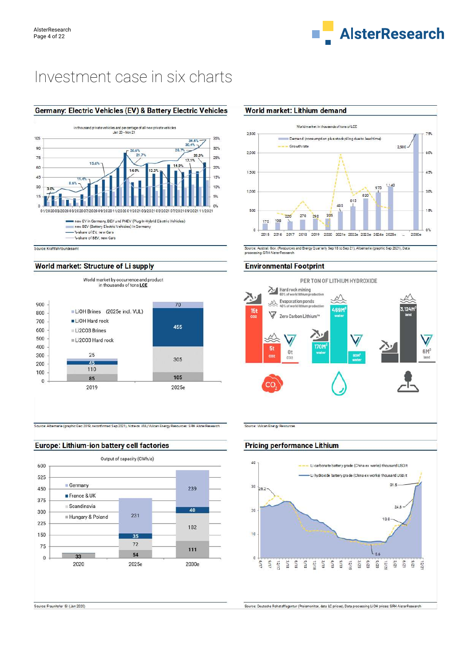

# Investment case in six charts

#### Germany: Electric Vehicles (EV) & Battery Electric Vehicles



Source: Kraftfahrtbundesam

#### World market: Structure of Li supply



Source: Albemarle (graphic Dec 2019, reconfirmed Sep 2021), Note on VUL/Vulcan Energy Resources: SRH AlsterResearch

### Europe: Lithium-ion battery cell factories



### World market: Lithium demand



Source: Austral. Gov. (Resources and Energy Quarterly Sep 18 to Sep 21), Albemarle (graphic Sep 2021), Data<br>processing: SRH AlsterResearch

#### **Environmental Footprint**



Source: Vulcan Energy Resources

#### **Pricing performance Lithium**



Source: Fraunhofer ISI (Jan 2020)

-<br>Source: Deutsche Rohstoffagentur (Preismonitor, data LC prices), Data processing LiOH prices: SRH AlsterResearch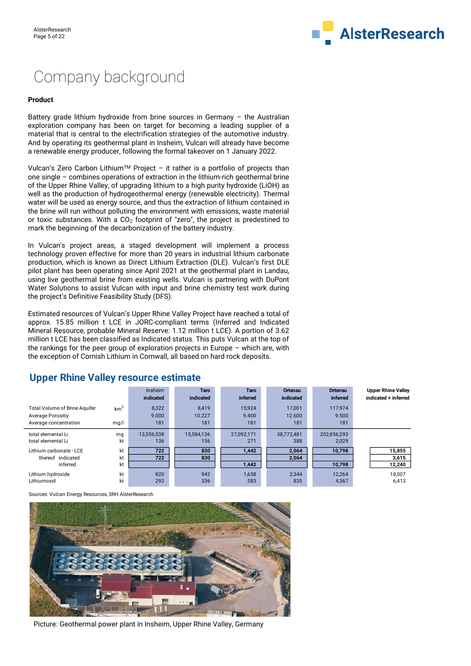

# Company background

#### **Product**

Battery grade lithium hydroxide from brine sources in Germany  $-$  the Australian exploration company has been on target for becoming a leading supplier of a material that is central to the electrification strategies of the automotive industry. And by operating its geothermal plant in Insheim, Vulcan will already have become a renewable energy producer, following the formal takeover on 1 January 2022.

Vulcan's Zero Carbon Lithium<sup>TM</sup> Project - it rather is a portfolio of projects than one single – combines operations of extraction in the lithium-rich geothermal brine of the Upper Rhine Valley, of upgrading lithium to a high purity hydroxide (LiOH) as well as the production of hydrogeothermal energy (renewable electricity). Thermal water will be used as energy source, and thus the extraction of lithium contained in the brine will run without polluting the environment with emissions, waste material or toxic substances. With a  $CO<sub>2</sub>$  footprint of "zero", the project is predestined to mark the beginning of the decarbonization of the battery industry.

In Vulcan's project areas, a staged development will implement a process technology proven effective for more than 20 years in industrial lithium carbonate production, which is known as Direct Lithium Extraction (DLE). Vulcan's first DLE pilot plant has been operating since April 2021 at the geothermal plant in Landau, using live geothermal brine from existing wells. Vulcan is partnering with DuPont Water Solutions to assist Vulcan with input and brine chemistry test work during the project's Definitive Feasibility Study (DFS).

Estimated resources of Vulcan's Upper Rhine Valley Project have reached a total of approx. 15.85 million t LCE in JORC-compliant terms (Inferred and Indicated Mineral Resource, probable Mineral Reserve: 1.12 million t LCE). A portion of 3.62 million t LCE has been classified as Indicated status. This puts Vulcan at the top of the rankings for the peer group of exploration projects in Europe – which are, with the exception of Cornish Lithium in Cornwall, all based on hard rock deposits.

|                                                                                           |                         | Insheim<br>indicated  | <b>Taro</b><br>indicated | <b>Taro</b><br>inferred | Ortenau<br>indicated    | <b>Ortenau</b><br><b>inferred</b> | <b>Upper Rhine Valley</b><br>indicated + inferred |
|-------------------------------------------------------------------------------------------|-------------------------|-----------------------|--------------------------|-------------------------|-------------------------|-----------------------------------|---------------------------------------------------|
| <b>Total Volume of Brine Aquifer</b><br><b>Average Porositiv</b><br>Average concentration | km <sup>3</sup><br>mq/l | 8,322<br>9.000<br>181 | 8.419<br>10.227<br>181   | 15.924<br>9.400<br>181  | 17.001<br>12.600<br>181 | 117.974<br>9.500<br>181           |                                                   |
| total elemental Li<br>total elemental Li                                                  | mg<br>kt                | 13,556,538<br>136     | 15,584,136<br>156        | 27,092,171<br>271       | 38.772.481<br>388       | 202,856,293<br>2,029              |                                                   |
| Lithium carbonate - LCE<br>thereof indicated<br>inferred                                  | kt<br>kt<br>kt          | 722<br>722            | 830<br>830               | 1,442<br>1,442          | 2.064<br>2.064          | 10,798<br>10,798                  | 15,855<br>3,615<br>12,240                         |
| Lithium hydroxide<br>Lithiumoxid                                                          | kt<br>kt                | 820<br>292            | 942<br>336               | 1.638<br>583            | 2.344<br>835            | 12.264<br>4,367                   | 18.007<br>6,413                                   |

### **Upper Rhine Valley resource estimate**

Sources: Vulcan Energy Resources, SRH AlsterResearch



Picture: Geothermal power plant in Insheim, Upper Rhine Valley, Germany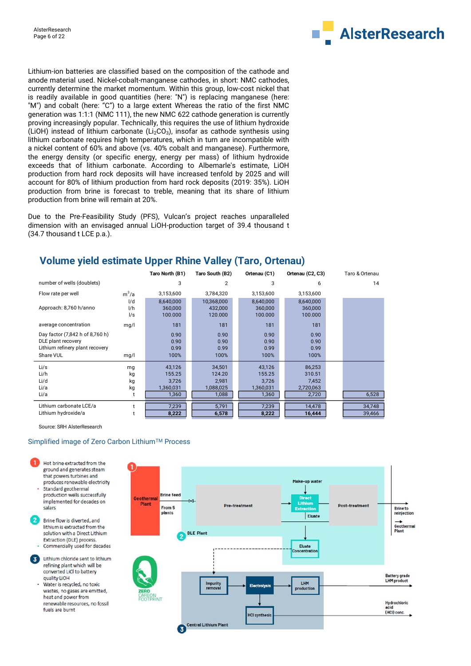

Lithium-ion batteries are classified based on the composition of the cathode and anode material used. Nickel-cobalt-manganese cathodes, in short: NMC cathodes, currently determine the market momentum. Within this group, low-cost nickel that is readily available in good quantities (here: "N") is replacing manganese (here: "M") and cobalt (here: "C") to a large extent Whereas the ratio of the first NMC generation was 1:1:1 (NMC 111), the new NMC 622 cathode generation is currently proving increasingly popular. Technically, this requires the use of lithium hydroxide (LiOH) instead of lithium carbonate (Li<sub>2</sub>CO<sub>3</sub>), insofar as cathode synthesis using lithium carbonate requires high temperatures, which in turn are incompatible with a nickel content of 60% and above (vs. 40% cobalt and manganese). Furthermore, the energy density (or specific energy, energy per mass) of lithium hydroxide exceeds that of lithium carbonate. According to Albemarle's estimate, LiOH production from hard rock deposits will have increased tenfold by 2025 and will account for 80% of lithium production from hard rock deposits (2019: 35%). LiOH production from brine is forecast to treble, meaning that its share of lithium production from brine will remain at 20%.

Due to the Pre-Feasibility Study (PFS), Vulcan's project reaches unparalleled dimension with an envisaged annual LiOH-production target of 39.4 thousand t (34.7 thousand t LCE p.a.).

|                                 |         | Taro North (B1) | Taro South (B2) | Ortenau (C1) | Ortenau (C2, C3) | Taro & Ortenau |
|---------------------------------|---------|-----------------|-----------------|--------------|------------------|----------------|
| number of wells (doublets)      |         | 3               | 2               | 3            | 6                | 14             |
| Flow rate per well              | $m^3/a$ | 3,153,600       | 3,784,320       | 3,153,600    | 3,153,600        |                |
|                                 | I/d     | 8,640,000       | 10,368,000      | 8,640,000    | 8,640,000        |                |
| Approach: 8,760 h/anno          | 1/h     | 360,000         | 432,000         | 360,000      | 360,000          |                |
|                                 | 1/s     | 100.000         | 120.000         | 100.000      | 100.000          |                |
| average concentration           | mg/l    | 181             | 181             | 181          | 181              |                |
| Day factor (7,842 h of 8,760 h) |         | 0.90            | 0.90            | 0.90         | 0.90             |                |
| DLE plant recovery              |         | 0.90            | 0.90            | 0.90         | 0.90             |                |
| Lithium refinery plant recovery |         | 0.99            | 0.99            | 0.99         | 0.99             |                |
| Share VUL                       | mg/l    | 100%            | 100%            | 100%         | 100%             |                |
| Li/s                            | mg      | 43,126          | 34,501          | 43,126       | 86,253           |                |
| Li/h                            | kg      | 155.25          | 124.20          | 155.25       | 310.51           |                |
| Li/d                            | kg      | 3,726           | 2.981           | 3,726        | 7.452            |                |
| Li/a                            | kg      | 1,360,031       | 1,088,025       | 1,360,031    | 2,720,063        |                |
| Li/a                            |         | 1,360           | 1,088           | 1,360        | 2,720            | 6,528          |
| Lithium carbonate LCE/a         |         | 7,239           | 5,791           | 7,239        | 14,478           | 34,748         |
| Lithium hydroxide/a             |         | 8,222           | 6,578           | 8,222        | 16,444           | 39,466         |

## **Volume yield estimate Upper Rhine Valley (Taro, Ortenau)**

Source: SRH AlsterResearch

#### Simplified image of Zero Carbon Lithium™ Process

- Hot brine extracted from the ground and generates steam that powers turbines and produces renewable electricity Standard geothermal
- production wells successfully implemented for decades on salars
- Brine flow is diverted, and lithium is extracted from the solution with a Direct Lithium Extraction (DLE) process. Commercially used for decades
- Lithium chloride sent to lithium 3) refining plant which will be converted LiCl to battery quality LiOH
- Water is recycled, no toxic wastes, no gases are emitted, heat and power from renewable resources, no fossil fuels are burnt

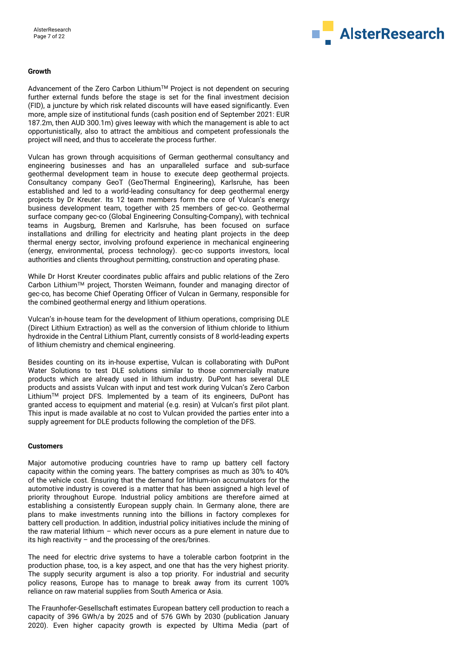

#### **Growth**

Advancement of the Zero Carbon Lithium™ Project is not dependent on securing further external funds before the stage is set for the final investment decision (FID), a juncture by which risk related discounts will have eased significantly. Even more, ample size of institutional funds (cash position end of September 2021: EUR 187.2m, then AUD 300.1m) gives leeway with which the management is able to act opportunistically, also to attract the ambitious and competent professionals the project will need, and thus to accelerate the process further.

Vulcan has grown through acquisitions of German geothermal consultancy and engineering businesses and has an unparalleled surface and sub-surface geothermal development team in house to execute deep geothermal projects. Consultancy company GeoT (GeoThermal Engineering), Karlsruhe, has been established and led to a world-leading consultancy for deep geothermal energy projects by Dr Kreuter. Its 12 team members form the core of Vulcan's energy business development team, together with 25 members of gec-co. Geothermal surface company gec-co (Global Engineering Consulting-Company), with technical teams in Augsburg, Bremen and Karlsruhe, has been focused on surface installations and drilling for electricity and heating plant projects in the deep thermal energy sector, involving profound experience in mechanical engineering (energy, environmental, process technology). gec-co supports investors, local authorities and clients throughout permitting, construction and operating phase.

While Dr Horst Kreuter coordinates public affairs and public relations of the Zero Carbon LithiumTM project, Thorsten Weimann, founder and managing director of gec-co, has become Chief Operating Officer of Vulcan in Germany, responsible for the combined geothermal energy and lithium operations.

Vulcan's in-house team for the development of lithium operations, comprising DLE (Direct Lithium Extraction) as well as the conversion of lithium chloride to lithium hydroxide in the Central Lithium Plant, currently consists of 8 world-leading experts of lithium chemistry and chemical engineering.

Besides counting on its in-house expertise, Vulcan is collaborating with DuPont Water Solutions to test DLE solutions similar to those commercially mature products which are already used in lithium industry. DuPont has several DLE products and assists Vulcan with input and test work during Vulcan's Zero Carbon LithiumTM project DFS. Implemented by a team of its engineers, DuPont has granted access to equipment and material (e.g. resin) at Vulcan's first pilot plant. This input is made available at no cost to Vulcan provided the parties enter into a supply agreement for DLE products following the completion of the DFS.

#### **Customers**

Major automotive producing countries have to ramp up battery cell factory capacity within the coming years. The battery comprises as much as 30% to 40% of the vehicle cost. Ensuring that the demand for lithium-ion accumulators for the automotive industry is covered is a matter that has been assigned a high level of priority throughout Europe. Industrial policy ambitions are therefore aimed at establishing a consistently European supply chain. In Germany alone, there are plans to make investments running into the billions in factory complexes for battery cell production. In addition, industrial policy initiatives include the mining of the raw material lithium – which never occurs as a pure element in nature due to its high reactivity – and the processing of the ores/brines.

The need for electric drive systems to have a tolerable carbon footprint in the production phase, too, is a key aspect, and one that has the very highest priority. The supply security argument is also a top priority. For industrial and security policy reasons, Europe has to manage to break away from its current 100% reliance on raw material supplies from South America or Asia.

The Fraunhofer-Gesellschaft estimates European battery cell production to reach a capacity of 396 GWh/a by 2025 and of 576 GWh by 2030 (publication January 2020). Even higher capacity growth is expected by Ultima Media (part of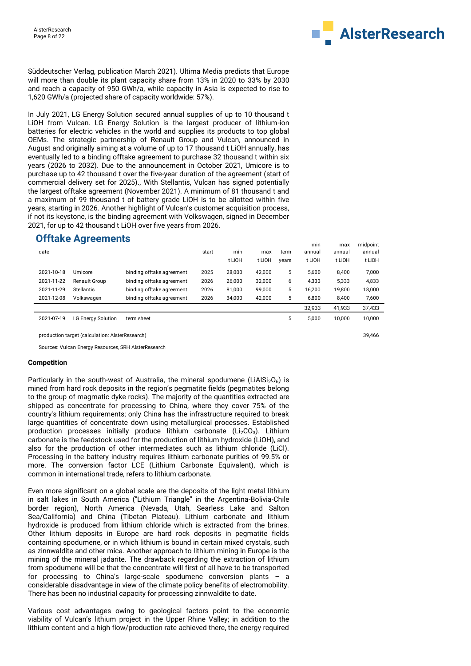

Süddeutscher Verlag, publication March 2021). Ultima Media predicts that Europe will more than double its plant capacity share from 13% in 2020 to 33% by 2030 and reach a capacity of 950 GWh/a, while capacity in Asia is expected to rise to 1,620 GWh/a (projected share of capacity worldwide: 57%).

In July 2021, LG Energy Solution secured annual supplies of up to 10 thousand t LiOH from Vulcan. LG Energy Solution is the largest producer of lithium-ion batteries for electric vehicles in the world and supplies its products to top global OEMs. The strategic partnership of Renault Group and Vulcan, announced in August and originally aiming at a volume of up to 17 thousand t LiOH annually, has eventually led to a binding offtake agreement to purchase 32 thousand t within six years (2026 to 2032). Due to the announcement in October 2021, Umicore is to purchase up to 42 thousand t over the five-year duration of the agreement (start of commercial delivery set for 2025)., With Stellantis, Vulcan has signed potentially the largest offtake agreement (November 2021). A minimum of 81 thousand t and a maximum of 99 thousand t of battery grade LiOH is to be allotted within five years, starting in 2026. Another highlight of Vulcan's customer acquisition process, if not its keystone, is the binding agreement with Volkswagen, signed in December 2021, for up to 42 thousand t LiOH over five years from 2026.

## **Offtake Agreements**

|            |                           |                           |       |        |        |       | min    | max    | midpoint |  |
|------------|---------------------------|---------------------------|-------|--------|--------|-------|--------|--------|----------|--|
| date       |                           |                           | start | min    | max    | term  | annual | annual | annual   |  |
|            |                           |                           |       | t LiOH | t LiOH | years | t LiOH | t LiOH | t LiOH   |  |
| 2021-10-18 | Umicore                   | binding offtake agreement | 2025  | 28,000 | 42.000 | 5     | 5.600  | 8.400  | 7,000    |  |
| 2021-11-22 | Renault Group             | binding offtake agreement | 2026  | 26,000 | 32,000 | 6     | 4,333  | 5,333  | 4,833    |  |
| 2021-11-29 | <b>Stellantis</b>         | binding offtake agreement | 2026  | 81.000 | 99.000 | 5     | 16.200 | 19.800 | 18.000   |  |
| 2021-12-08 | Volkswagen                | binding offtake agreement | 2026  | 34,000 | 42.000 | 5     | 6.800  | 8.400  | 7,600    |  |
|            |                           |                           |       |        |        |       | 32.933 | 41.933 | 37,433   |  |
| 2021-07-19 | <b>LG Energy Solution</b> | term sheet                |       |        |        |       | 5.000  | 10.000 | 10.000   |  |

production target (calculation: AlsterResearch) 39,466

Sources: Vulcan Energy Resources, SRH AlsterResearch

#### **Competition**

Particularly in the south-west of Australia, the mineral spodumene (LiAlSi<sub>2</sub>O<sub>6</sub>) is mined from hard rock deposits in the region's pegmatite fields (pegmatites belong to the group of magmatic dyke rocks). The majority of the quantities extracted are shipped as concentrate for processing to China, where they cover 75% of the country's lithium requirements; only China has the infrastructure required to break large quantities of concentrate down using metallurgical processes. Established production processes initially produce lithium carbonate  $(Li<sub>2</sub>CO<sub>3</sub>)$ . Lithium carbonate is the feedstock used for the production of lithium hydroxide (LiOH), and also for the production of other intermediates such as lithium chloride (LiCl). Processing in the battery industry requires lithium carbonate purities of 99.5% or more. The conversion factor LCE (Lithium Carbonate Equivalent), which is common in international trade, refers to lithium carbonate.

Even more significant on a global scale are the deposits of the light metal lithium in salt lakes in South America ("Lithium Triangle" in the Argentina-Bolivia-Chile border region), North America (Nevada, Utah, Searless Lake and Salton Sea/California) and China (Tibetan Plateau). Lithium carbonate and lithium hydroxide is produced from lithium chloride which is extracted from the brines. Other lithium deposits in Europe are hard rock deposits in pegmatite fields containing spodumene, or in which lithium is bound in certain mixed crystals, such as zinnwaldite and other mica. Another approach to lithium mining in Europe is the mining of the mineral jadarite. The drawback regarding the extraction of lithium from spodumene will be that the concentrate will first of all have to be transported for processing to China's large-scale spodumene conversion plants – a considerable disadvantage in view of the climate policy benefits of electromobility. There has been no industrial capacity for processing zinnwaldite to date.

Various cost advantages owing to geological factors point to the economic viability of Vulcan's lithium project in the Upper Rhine Valley; in addition to the lithium content and a high flow/production rate achieved there, the energy required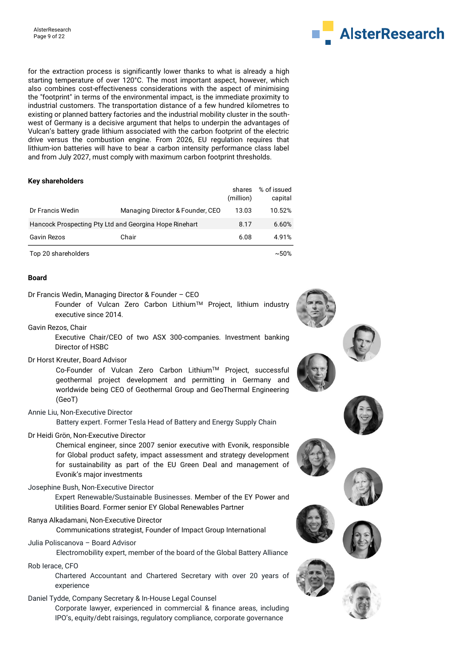

for the extraction process is significantly lower thanks to what is already a high starting temperature of over 120°C. The most important aspect, however, which also combines cost-effectiveness considerations with the aspect of minimising the "footprint" in terms of the environmental impact, is the immediate proximity to industrial customers. The transportation distance of a few hundred kilometres to existing or planned battery factories and the industrial mobility cluster in the southwest of Germany is a decisive argument that helps to underpin the advantages of Vulcan's battery grade lithium associated with the carbon footprint of the electric drive versus the combustion engine. From 2026, EU regulation requires that lithium-ion batteries will have to bear a carbon intensity performance class label and from July 2027, must comply with maximum carbon footprint thresholds.

#### **Key shareholders**

|                     |                                                        | shares<br>(million) | % of issued<br>capital |
|---------------------|--------------------------------------------------------|---------------------|------------------------|
| Dr Francis Wedin    | Managing Director & Founder, CEO                       | 13.03               | 10.52%                 |
|                     | Hancock Prospecting Pty Ltd and Georgina Hope Rinehart | 8.17                | 6.60%                  |
| Gavin Rezos         | Chair                                                  | 6.08                | 4.91%                  |
| Top 20 shareholders |                                                        |                     | $~1.50\%$              |

#### **Board**

Dr Francis Wedin, Managing Director & Founder – CEO

Founder of Vulcan Zero Carbon Lithium™ Project, lithium industry executive since 2014.

Gavin Rezos, Chair

 Executive Chair/CEO of two ASX 300-companies. Investment banking Director of HSBC

Dr Horst Kreuter, Board Advisor

Co-Founder of Vulcan Zero Carbon LithiumTM Project, successful geothermal project development and permitting in Germany and worldwide being CEO of Geothermal Group and GeoThermal Engineering (GeoT)

Annie Liu, Non-Executive Director

Battery expert. Former Tesla Head of Battery and Energy Supply Chain

Dr Heidi Grön, Non-Executive Director

Chemical engineer, since 2007 senior executive with Evonik, responsible for Global product safety, impact assessment and strategy development for sustainability as part of the EU Green Deal and management of Evonik's major investments

Josephine Bush, Non-Executive Director

 Expert Renewable/Sustainable Businesses. Member of the EY Power and Utilities Board. Former senior EY Global Renewables Partner

Ranya Alkadamani, Non-Executive Director

Communications strategist, Founder of Impact Group International

Julia Poliscanova – Board Advisor

 Electromobility expert, member of the board of the Global Battery Alliance Rob Ierace, CFO

> Chartered Accountant and Chartered Secretary with over 20 years of experience

Daniel Tydde, Company Secretary & In-House Legal Counsel

Corporate lawyer, experienced in commercial & finance areas, including IPO's, equity/debt raisings, regulatory compliance, corporate governance





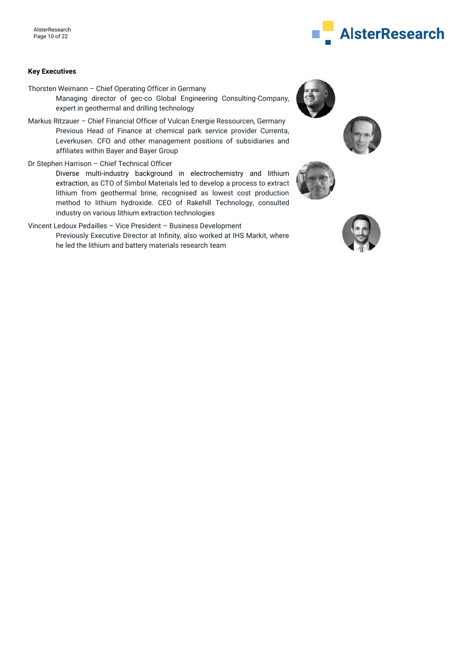# **AlsterResearch**

#### **Key Executives**

Thorsten Weimann – Chief Operating Officer in Germany

Managing director of gec-co Global Engineering Consulting-Company, expert in geothermal and drilling technology

- Markus Ritzauer Chief Financial Officer of Vulcan Energie Ressourcen, Germany Previous Head of Finance at chemical park service provider Currenta, Leverkusen. CFO and other management positions of subsidiaries and affiliates within Bayer and Bayer Group
- Dr Stephen Harrison Chief Technical Officer

Diverse multi-industry background in electrochemistry and lithium extraction, as CTO of Simbol Materials led to develop a process to extract lithium from geothermal brine, recognised as lowest cost production method to lithium hydroxide. CEO of Rakehill Technology, consulted industry on various lithium extraction technologies

Vincent Ledoux Pedailles – Vice President – Business Development Previously Executive Director at Infinity, also worked at IHS Markit, where he led the lithium and battery materials research team





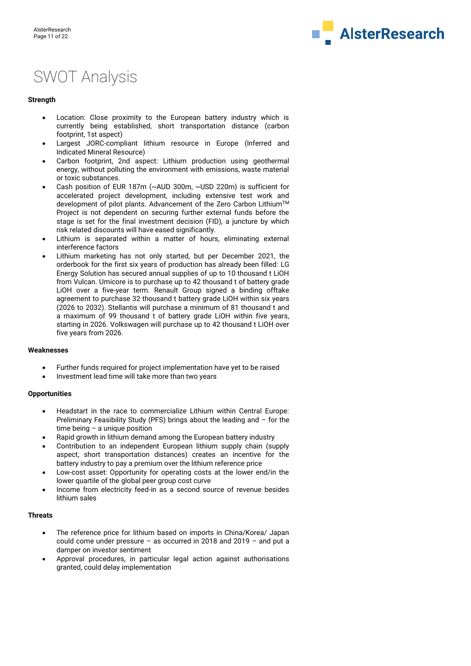

# SWOT Analysis

#### **Strength**

- Location: Close proximity to the European battery industry which is currently being established, short transportation distance (carbon footprint, 1st aspect)
- Largest JORC-compliant lithium resource in Europe (Inferred and Indicated Mineral Resource)
- Carbon footprint, 2nd aspect: Lithium production using geothermal energy, without polluting the environment with emissions, waste material or toxic substances.
- Cash position of EUR 187m (~AUD 300m, ~USD 220m) is sufficient for accelerated project development, including extensive test work and development of pilot plants. Advancement of the Zero Carbon Lithium™ Project is not dependent on securing further external funds before the stage is set for the final investment decision (FID), a juncture by which risk related discounts will have eased significantly.
- Lithium is separated within a matter of hours, eliminating external interference factors
- Lithium marketing has not only started, but per December 2021, the orderbook for the first six years of production has already been filled: LG Energy Solution has secured annual supplies of up to 10 thousand t LiOH from Vulcan. Umicore is to purchase up to 42 thousand t of battery grade LiOH over a five-year term. Renault Group signed a binding offtake agreement to purchase 32 thousand t battery grade LiOH within six years (2026 to 2032). Stellantis will purchase a minimum of 81 thousand t and a maximum of 99 thousand t of battery grade LiOH within five years, starting in 2026. Volkswagen will purchase up to 42 thousand t LiOH over five years from 2026.

#### **Weaknesses**

- Further funds required for project implementation have yet to be raised
- Investment lead time will take more than two years

#### **Opportunities**

- Headstart in the race to commercialize Lithium within Central Europe: Preliminary Feasibility Study (PFS) brings about the leading and – for the time being – a unique position
- Rapid growth in lithium demand among the European battery industry
- Contribution to an independent European lithium supply chain (supply aspect, short transportation distances) creates an incentive for the battery industry to pay a premium over the lithium reference price
- Low-cost asset: Opportunity for operating costs at the lower end/in the lower quartile of the global peer group cost curve
- Income from electricity feed-in as a second source of revenue besides lithium sales

#### **Threats**

- The reference price for lithium based on imports in China/Korea/ Japan could come under pressure – as occurred in 2018 and 2019 – and put a damper on investor sentiment
- Approval procedures, in particular legal action against authorisations granted, could delay implementation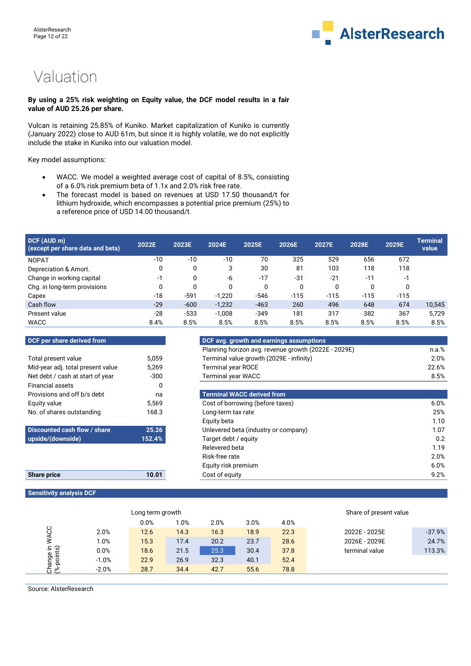

# Valuation

#### **By using a 25% risk weighting on Equity value, the DCF model results in a fair value of AUD 25.26 per share.**

Vulcan is retaining 25.85% of Kuniko. Market capitalization of Kuniko is currently (January 2022) close to AUD 61m, but since it is highly volatile, we do not explicitly include the stake in Kuniko into our valuation model.

Key model assumptions:

- WACC. We model a weighted average cost of capital of 8.5%, consisting of a 6.0% risk premium beta of 1.1x and 2.0% risk free rate.
- The forecast model is based on revenues at USD 17.50 thousand/t for lithium hydroxide, which encompasses a potential price premium (25%) to a reference price of USD 14.00 thousand/t.

| DCF (AUD m)<br>(except per share data and beta) | 2022E | 2023E  | 2024E    | 2025E  | 2026E  | 2027E  | 2028E  | 2029E  | Terminal<br>value |
|-------------------------------------------------|-------|--------|----------|--------|--------|--------|--------|--------|-------------------|
| <b>NOPAT</b>                                    | $-10$ | $-10$  | $-10$    | 70     | 325    | 529    | 656    | 672    |                   |
| Depreciation & Amort.                           | 0     | 0      | 3        | 30     | 81     | 103    | 118    | 118    |                   |
| Change in working capital                       | $-1$  | 0      | -6       | $-17$  | $-31$  | $-21$  | $-11$  | -1     |                   |
| Chg. in long-term provisions                    | 0     |        | 0        | 0      | 0      |        | 0      |        |                   |
| Capex                                           | -18   | $-591$ | $-1,220$ | $-546$ | $-115$ | $-115$ | $-115$ | $-115$ |                   |
| Cash flow                                       | $-29$ | $-600$ | $-1,232$ | $-463$ | 260    | 496    | 648    | 674    | 10,545            |
| Present value                                   | $-28$ | $-533$ | $-1,008$ | $-349$ | 181    | 317    | 382    | 367    | 5.729             |
| <b>WACC</b>                                     | 8.4%  | 8.5%   | 8.5%     | 8.5%   | 8.5%   | 8.5%   | 8.5%   | 8.5%   | 8.5%              |

| DCF per share derived from        |        | DCF avg. growth and earnings      |
|-----------------------------------|--------|-----------------------------------|
|                                   |        | Planning horizon avg. revenue     |
| Total present value               | 5.059  | Terminal value growth (2029E      |
| Mid-year adj. total present value | 5,269  | <b>Terminal year ROCE</b>         |
| Net debt / cash at start of year  | $-300$ | <b>Terminal year WACC</b>         |
| <b>Financial assets</b>           | 0      |                                   |
| Provisions and off b/s debt       | na     | <b>Terminal WACC derived from</b> |
| Equity value                      | 5,569  | Cost of borrowing (before taxe    |
| No. of shares outstanding         | 168.3  | Long-term tax rate                |
|                                   |        | Equity beta                       |
|                                   |        |                                   |

| Discounted cash flow / share | 25.26  |
|------------------------------|--------|
| upside/(downside)            | 152.4% |

| Share price | 10.0 |
|-------------|------|
|             |      |

**Sensitivity analysis DCF**

| <b>DCF per share derived from</b> |       | DCF avg. growth and earnings assumptions             |          |  |  |
|-----------------------------------|-------|------------------------------------------------------|----------|--|--|
|                                   |       | Planning horizon avg. revenue growth (2022E - 2029E) | $n.a.\%$ |  |  |
| Total present value               | 5.059 | Terminal value growth (2029E - infinity)             | 2.0%     |  |  |
| Mid-year adj. total present value | 5.269 | <b>Terminal year ROCE</b>                            | 22.6%    |  |  |
| Net debt / cash at start of year  | -300  | <b>Terminal year WACC</b>                            | 8.5%     |  |  |
| Financial assets                  |       |                                                      |          |  |  |

| Provisions and off b/s debt  | na     | <b>Terminal WACC derived from</b>    |      |
|------------------------------|--------|--------------------------------------|------|
| Equity value                 | 5,569  | Cost of borrowing (before taxes)     | 6.0% |
| No. of shares outstanding    | 168.3  | Long-term tax rate                   | 25%  |
|                              |        | Equity beta                          | 1.10 |
| Discounted cash flow / share | 25.26  | Unlevered beta (industry or company) | 1.07 |
| upside/(downside)            | 152.4% | Target debt / equity                 | 0.2  |
|                              |        | Relevered beta                       | 1.19 |
|                              |        | Risk-free rate                       | 2.0% |
|                              |        | Equity risk premium                  | 6.0% |
| <b>Share price</b>           | 10.01  | Cost of equity                       | 9.2% |
|                              |        |                                      |      |

| Long term growth        |         |      |         |      |      | Share of present value |                |          |
|-------------------------|---------|------|---------|------|------|------------------------|----------------|----------|
|                         |         | 0.0% | $1.0\%$ | 2.0% | 3.0% | 4.0%                   |                |          |
|                         | 2.0%    | 12.6 | 14.3    | 16.3 | 18.9 | 22.3                   | 2022E - 2025E  | $-37.9%$ |
| ⋚                       | 1.0%    | 15.3 | 17.4    | 20.2 | 23.7 | 28.6                   | 2026E - 2029E  | 24.7%    |
|                         | 0.0%    | 18.6 | 21.5    | 25.3 | 30.4 | 37.8                   | terminal value | 113.3%   |
|                         | $-1.0%$ | 22.9 | 26.9    | 32.3 | 40.1 | 52.4                   |                |          |
| Change in<br>(%-points) | $-2.0%$ | 28.7 | 34.4    | 42.7 | 55.6 | 78.8                   |                |          |

Source: AlsterResearch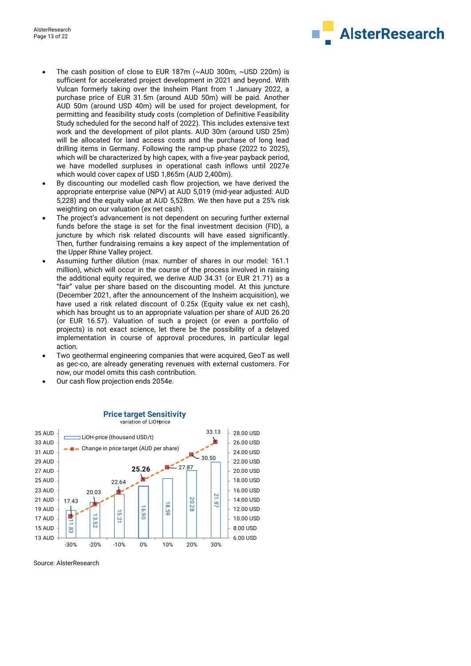

- The cash position of close to EUR 187m (~AUD 300m, ~USD 220m) is sufficient for accelerated project development in 2021 and beyond. With Vulcan formerly taking over the Insheim Plant from 1 January 2022, a purchase price of EUR 31.5m (around AUD 50m) will be paid. Another AUD 50m (around USD 40m) will be used for project development, for permitting and feasibility study costs (completion of Definitive Feasibility Study scheduled for the second half of 2022). This includes extensive text work and the development of pilot plants. AUD 30m (around USD 25m) will be allocated for land access costs and the purchase of long lead drilling items in Germany. Following the ramp-up phase (2022 to 2025), which will be characterized by high capex, with a five-year payback period, we have modelled surpluses in operational cash inflows until 2027e which would cover capex of USD 1,865m (AUD 2,400m).
- By discounting our modelled cash flow projection, we have derived the appropriate enterprise value (NPV) at AUD 5,019 (mid-year adjusted: AUD 5,228) and the equity value at AUD 5,528m. We then have put a 25% risk weighting on our valuation (ex net cash).
- The project's advancement is not dependent on securing further external funds before the stage is set for the final investment decision (FID), a juncture by which risk related discounts will have eased significantly. Then, further fundraising remains a key aspect of the implementation of the Upper Rhine Valley project.
- Assuming further dilution (max. number of shares in our model: 161.1 million), which will occur in the course of the process involved in raising the additional equity required, we derive AUD 34.31 (or EUR 21.71) as a "fair" value per share based on the discounting model. At this juncture (December 2021, after the announcement of the Insheim acquisition), we have used a risk related discount of 0.25x (Equity value ex net cash), which has brought us to an appropriate valuation per share of AUD 26.20 (or EUR 16.57). Valuation of such a project (or even a portfolio of projects) is not exact science, let there be the possibility of a delayed implementation in course of approval procedures, in particular legal action.
- Two geothermal engineering companies that were acquired, GeoT as well as gec-co, are already generating revenues with external customers. For now, our model omits this cash contribution.
- Our cash flow projection ends 2054e.



#### **Price target Sensitivity** variation of LiOH price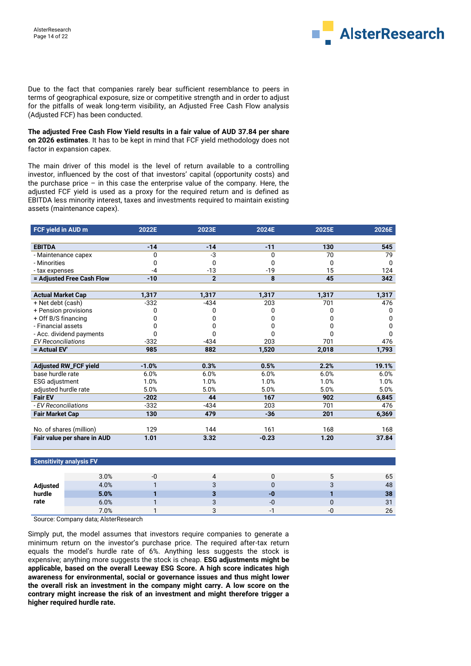

Due to the fact that companies rarely bear sufficient resemblance to peers in terms of geographical exposure, size or competitive strength and in order to adjust for the pitfalls of weak long-term visibility, an Adjusted Free Cash Flow analysis (Adjusted FCF) has been conducted.

**The adjusted Free Cash Flow Yield results in a fair value of AUD 37.84 per share on 2026 estimates**. It has to be kept in mind that FCF yield methodology does not factor in expansion capex.

The main driver of this model is the level of return available to a controlling investor, influenced by the cost of that investors' capital (opportunity costs) and the purchase price – in this case the enterprise value of the company. Here, the adjusted FCF yield is used as a proxy for the required return and is defined as EBITDA less minority interest, taxes and investments required to maintain existing assets (maintenance capex).

| FCF yield in AUD m           | 2022E   | 2023E          | 2024E   | 2025E | 2026E        |
|------------------------------|---------|----------------|---------|-------|--------------|
|                              |         |                |         |       |              |
| <b>EBITDA</b>                | $-14$   | $-14$          | $-11$   | 130   | 545          |
| - Maintenance capex          | 0       | -3             | 0       | 70    | 79           |
| - Minorities                 | O       | 0              | O       | 0     | <sup>0</sup> |
| - tax expenses               | -4      | $-13$          | $-19$   | 15    | 124          |
| = Adjusted Free Cash Flow    | $-10$   | $\overline{2}$ | 8       | 45    | 342          |
|                              |         |                |         |       |              |
| <b>Actual Market Cap</b>     | 1,317   | 1,317          | 1,317   | 1,317 | 1,317        |
| + Net debt (cash)            | $-332$  | $-434$         | 203     | 701   | 476          |
| + Pension provisions         | 0       | 0              | 0       | 0     | O            |
| + Off B/S financing          |         |                |         |       | n            |
| - Financial assets           |         |                |         |       | O            |
| - Acc. dividend payments     |         |                |         |       | U            |
| <b>EV Reconciliations</b>    | $-332$  | $-434$         | 203     | 701   | 476          |
| = Actual EV'                 | 985     | 882            | 1,520   | 2,018 | 1,793        |
|                              |         |                |         |       |              |
| <b>Adjusted RW_FCF yield</b> | $-1.0%$ | 0.3%           | 0.5%    | 2.2%  | 19.1%        |
| base hurdle rate             | 6.0%    | 6.0%           | 6.0%    | 6.0%  | 6.0%         |
| ESG adjustment               | 1.0%    | 1.0%           | 1.0%    | 1.0%  | 1.0%         |
| adjusted hurdle rate         | 5.0%    | 5.0%           | 5.0%    | 5.0%  | 5.0%         |
| <b>Fair EV</b>               | $-202$  | 44             | 167     | 902   | 6,845        |
| - EV Reconciliations         | $-332$  | $-434$         | 203     | 701   | 476          |
| <b>Fair Market Cap</b>       | 130     | 479            | $-36$   | 201   | 6,369        |
|                              |         |                |         |       |              |
| No. of shares (million)      | 129     | 144            | 161     | 168   | 168          |
| Fair value per share in AUD  | 1.01    | 3.32           | $-0.23$ | 1.20  | 37.84        |
|                              |         |                |         |       |              |

#### **Sensitivity analysis FV**

|          | 3.0% | -0 |                          |     | 65 |
|----------|------|----|--------------------------|-----|----|
| Adjusted | 4.0% |    |                          |     | 48 |
| hurdle   | 5.0% |    | -0                       |     | 38 |
| rate     | 6.0% |    | -0                       |     | 31 |
|          | 7.0% |    | $\overline{\phantom{0}}$ | -11 | 26 |

Source: Company data; AlsterResearch

Simply put, the model assumes that investors require companies to generate a minimum return on the investor's purchase price. The required after-tax return equals the model's hurdle rate of 6%. Anything less suggests the stock is expensive; anything more suggests the stock is cheap. **ESG adjustments might be applicable, based on the overall Leeway ESG Score. A high score indicates high awareness for environmental, social or governance issues and thus might lower the overall risk an investment in the company might carry. A low score on the contrary might increase the risk of an investment and might therefore trigger a higher required hurdle rate.**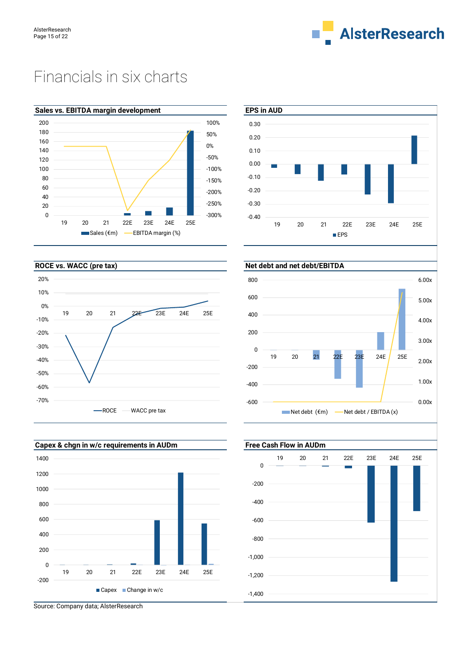

# Financials in six charts











-1,200 -1,000 -800 -600 -400 -200 0

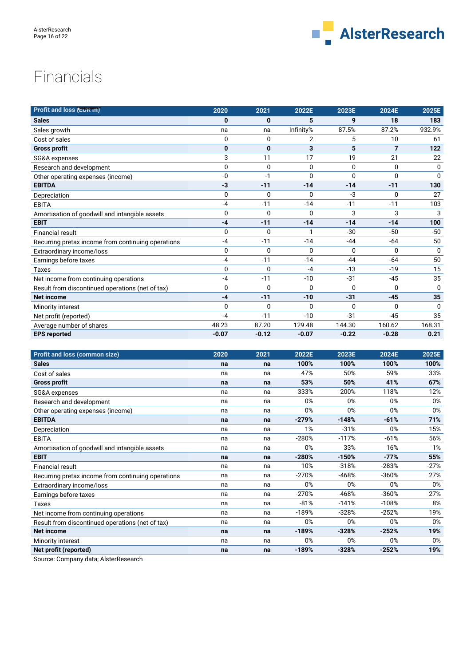

# Financials

| <b>Profit and loss (EUR m)</b>                     | 2020         | 2021         | 2022E          | 2023E        | 2024E          | 2025E    |
|----------------------------------------------------|--------------|--------------|----------------|--------------|----------------|----------|
| <b>Sales</b>                                       | 0            | 0            | 5              | 9            | 18             | 183      |
| Sales growth                                       | na           | na           | Infinity%      | 87.5%        | 87.2%          | 932.9%   |
| Cost of sales                                      | 0            | 0            | $\overline{2}$ | 5            | 10             | 61       |
| <b>Gross profit</b>                                | $\bf{0}$     | $\bf{0}$     | 3              | 5            | $\overline{7}$ | 122      |
| SG&A expenses                                      | 3            | 11           | 17             | 19           | 21             | 22       |
| Research and development                           | $\mathbf 0$  | 0            | $\Omega$       | 0            | $\mathbf 0$    | 0        |
| Other operating expenses (income)                  | -0           | $-1$         | $\Omega$       | $\mathbf{0}$ | $\mathbf 0$    | $\Omega$ |
| <b>EBITDA</b>                                      | $-3$         | $-11$        | $-14$          | $-14$        | $-11$          | 130      |
| Depreciation                                       | $\Omega$     | 0            | $\Omega$       | -3           | $\mathbf{0}$   | 27       |
| <b>EBITA</b>                                       | -4           | $-11$        | $-14$          | $-11$        | $-11$          | 103      |
| Amortisation of goodwill and intangible assets     | $\mathbf 0$  | 0            | 0              | 3            | 3              | 3        |
| <b>EBIT</b>                                        | $-4$         | $-11$        | $-14$          | $-14$        | $-14$          | 100      |
| <b>Financial result</b>                            | 0            | 0            | 1              | $-30$        | $-50$          | $-50$    |
| Recurring pretax income from continuing operations | $-4$         | $-11$        | $-14$          | $-44$        | $-64$          | 50       |
| Extraordinary income/loss                          | $\mathbf 0$  | 0            | $\mathbf{0}$   | $\mathbf{0}$ | 0              | $\Omega$ |
| Earnings before taxes                              | $-4$         | $-11$        | $-14$          | $-44$        | $-64$          | 50       |
| <b>Taxes</b>                                       | $\mathbf 0$  | 0            | $-4$           | $-13$        | $-19$          | 15       |
| Net income from continuing operations              | $-4$         | $-11$        | $-10$          | $-31$        | $-45$          | 35       |
| Result from discontinued operations (net of tax)   | $\Omega$     | 0            | $\Omega$       | $\mathbf{0}$ | $\Omega$       | $\Omega$ |
| <b>Net income</b>                                  | $-4$         | $-11$        | $-10$          | $-31$        | $-45$          | 35       |
| Minority interest                                  | $\mathbf{0}$ | $\mathbf{0}$ | $\Omega$       | $\mathbf{0}$ | $\mathbf{0}$   | $\Omega$ |
| Net profit (reported)                              | $-4$         | $-11$        | $-10$          | $-31$        | $-45$          | 35       |
| Average number of shares                           | 48.23        | 87.20        | 129.48         | 144.30       | 160.62         | 168.31   |
| <b>EPS reported</b>                                | $-0.07$      | $-0.12$      | $-0.07$        | $-0.22$      | $-0.28$        | 0.21     |

| <b>Profit and loss (common size)</b>               | 2020 | 2021 | 2022E   | 2023E   | 2024E   | 2025E  |
|----------------------------------------------------|------|------|---------|---------|---------|--------|
| <b>Sales</b>                                       | na   | na   | 100%    | 100%    | 100%    | 100%   |
| Cost of sales                                      | na   | na   | 47%     | 50%     | 59%     | 33%    |
| <b>Gross profit</b>                                | na   | na   | 53%     | 50%     | 41%     | 67%    |
| SG&A expenses                                      | na   | na   | 333%    | 200%    | 118%    | 12%    |
| Research and development                           | na   | na   | 0%      | 0%      | 0%      | 0%     |
| Other operating expenses (income)                  | na   | na   | 0%      | 0%      | 0%      | 0%     |
| <b>EBITDA</b>                                      | na   | na   | $-279%$ | $-148%$ | $-61%$  | 71%    |
| Depreciation                                       | na   | na   | 1%      | $-31%$  | 0%      | 15%    |
| <b>EBITA</b>                                       | na   | na   | $-280%$ | $-117%$ | $-61%$  | 56%    |
| Amortisation of goodwill and intangible assets     | na   | na   | 0%      | 33%     | 16%     | 1%     |
| <b>EBIT</b>                                        | na   | na   | $-280%$ | $-150%$ | $-77%$  | 55%    |
| <b>Financial result</b>                            | na   | na   | 10%     | $-318%$ | $-283%$ | $-27%$ |
| Recurring pretax income from continuing operations | na   | na   | $-270%$ | -468%   | $-360%$ | 27%    |
| Extraordinary income/loss                          | na   | na   | 0%      | 0%      | 0%      | 0%     |
| Earnings before taxes                              | na   | na   | $-270%$ | $-468%$ | $-360%$ | 27%    |
| Taxes                                              | na   | na   | $-81%$  | $-141%$ | $-108%$ | 8%     |
| Net income from continuing operations              | na   | na   | $-189%$ | $-328%$ | $-252%$ | 19%    |
| Result from discontinued operations (net of tax)   | na   | na   | 0%      | 0%      | 0%      | $0\%$  |
| <b>Net income</b>                                  | na   | na   | $-189%$ | $-328%$ | $-252%$ | 19%    |
| Minority interest                                  | na   | na   | 0%      | 0%      | 0%      | 0%     |
| Net profit (reported)                              | na   | na   | $-189%$ | $-328%$ | $-252%$ | 19%    |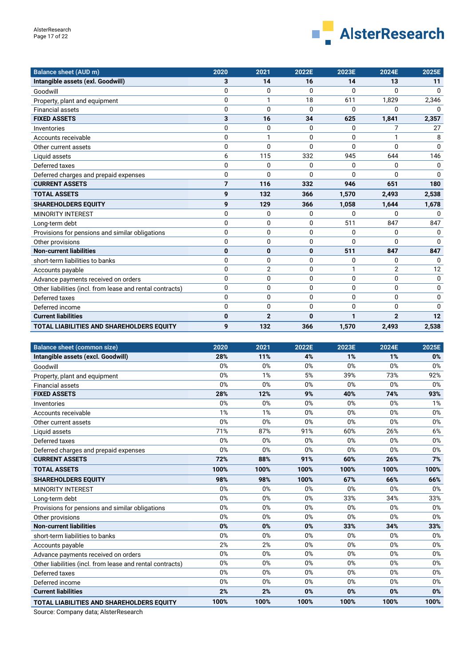

| <b>Balance sheet (AUD m)</b>                              | 2020           | 2021           | 2022E        | 2023E        | 2024E          | 2025E        |
|-----------------------------------------------------------|----------------|----------------|--------------|--------------|----------------|--------------|
| Intangible assets (exl. Goodwill)                         | 3              | 14             | 16           | 14           | 13             | 11           |
| Goodwill                                                  | $\mathbf{0}$   | 0              | $\mathbf{0}$ | 0            | $\Omega$       | $\Omega$     |
| Property, plant and equipment                             | $\mathbf{0}$   |                | 18           | 611          | 1,829          | 2,346        |
| <b>Financial assets</b>                                   | $\mathbf{0}$   | $\mathbf 0$    | $\mathbf{0}$ | <sup>0</sup> | U              | $\Omega$     |
| <b>FIXED ASSETS</b>                                       | 3              | 16             | 34           | 625          | 1,841          | 2,357        |
| Inventories                                               | $\mathbf{0}$   | 0              | 0            | 0            | 7              | 27           |
| Accounts receivable                                       | $\mathbf{0}$   |                | 0            | 0            | 1              | 8            |
| Other current assets                                      | $\mathbf{0}$   | $\Omega$       | $\Omega$     | 0            | $\Omega$       | $\Omega$     |
| Liquid assets                                             | 6              | 115            | 332          | 945          | 644            | 146          |
| Deferred taxes                                            | $\mathbf{0}$   | 0              | $\Omega$     | 0            | 0              | $\Omega$     |
| Deferred charges and prepaid expenses                     | 0              | $\Omega$       | 0            | 0            | 0              | $\Omega$     |
| <b>CURRENT ASSETS</b>                                     | $\overline{7}$ | 116            | 332          | 946          | 651            | 180          |
| <b>TOTAL ASSETS</b>                                       | 9              | 132            | 366          | 1,570        | 2,493          | 2,538        |
| <b>SHAREHOLDERS EQUITY</b>                                | 9              | 129            | 366          | 1,058        | 1,644          | 1,678        |
| <b>MINORITY INTEREST</b>                                  | $\mathbf{0}$   | 0              | 0            | 0            | U              | n            |
| Long-term debt                                            | 0              | 0              | 0            | 511          | 847            | 847          |
| Provisions for pensions and similar obligations           | 0              | 0              | 0            | 0            | 0              | $\Omega$     |
| Other provisions                                          | $\Omega$       | 0              | 0            | 0            | $\Omega$       | $\Omega$     |
| <b>Non-current liabilities</b>                            | 0              | 0              | 0            | 511          | 847            | 847          |
| short-term liabilities to banks                           | $\mathbf{0}$   | 0              | 0            | 0            | 0              | $\mathbf{0}$ |
| Accounts payable                                          | $\Omega$       | $\overline{2}$ | 0            | 1            | $\overline{2}$ | 12           |
| Advance payments received on orders                       | 0              | 0              | 0            | 0            | 0              | $\mathbf 0$  |
| Other liabilities (incl. from lease and rental contracts) | $\mathbf{0}$   | 0              | $\Omega$     | 0            | 0              | $\Omega$     |
| Deferred taxes                                            | $\mathbf{0}$   | 0              | 0            | 0            | 0              | $\Omega$     |
| Deferred income                                           | 0              | 0              | 0            | 0            | 0              | $\Omega$     |
| <b>Current liabilities</b>                                | 0              | $\overline{2}$ | $\bf{0}$     | 1            | $\overline{2}$ | 12           |
| <b>TOTAL LIABILITIES AND SHAREHOLDERS EQUITY</b>          | 9              | 132            | 366          | 1,570        | 2,493          | 2,538        |

| <b>Balance sheet (common size)</b>                        | 2020 | 2021 | 2022E | 2023E | 2024E | 2025E |
|-----------------------------------------------------------|------|------|-------|-------|-------|-------|
| Intangible assets (excl. Goodwill)                        | 28%  | 11%  | 4%    | 1%    | 1%    | 0%    |
| Goodwill                                                  | 0%   | 0%   | 0%    | 0%    | 0%    | 0%    |
| Property, plant and equipment                             | 0%   | 1%   | 5%    | 39%   | 73%   | 92%   |
| <b>Financial assets</b>                                   | 0%   | 0%   | 0%    | 0%    | 0%    | 0%    |
| <b>FIXED ASSETS</b>                                       | 28%  | 12%  | 9%    | 40%   | 74%   | 93%   |
| Inventories                                               | 0%   | 0%   | 0%    | 0%    | 0%    | 1%    |
| Accounts receivable                                       | 1%   | 1%   | 0%    | 0%    | 0%    | 0%    |
| Other current assets                                      | 0%   | 0%   | 0%    | 0%    | 0%    | 0%    |
| Liquid assets                                             | 71%  | 87%  | 91%   | 60%   | 26%   | 6%    |
| Deferred taxes                                            | 0%   | 0%   | 0%    | 0%    | 0%    | 0%    |
| Deferred charges and prepaid expenses                     | 0%   | 0%   | 0%    | 0%    | 0%    | 0%    |
| <b>CURRENT ASSETS</b>                                     | 72%  | 88%  | 91%   | 60%   | 26%   | 7%    |
| <b>TOTAL ASSETS</b>                                       | 100% | 100% | 100%  | 100%  | 100%  | 100%  |
| <b>SHAREHOLDERS EQUITY</b>                                | 98%  | 98%  | 100%  | 67%   | 66%   | 66%   |
| <b>MINORITY INTEREST</b>                                  | 0%   | 0%   | 0%    | 0%    | 0%    | 0%    |
| Long-term debt                                            | 0%   | 0%   | 0%    | 33%   | 34%   | 33%   |
| Provisions for pensions and similar obligations           | 0%   | 0%   | 0%    | 0%    | 0%    | 0%    |
| Other provisions                                          | 0%   | 0%   | 0%    | 0%    | 0%    | 0%    |
| <b>Non-current liabilities</b>                            | 0%   | 0%   | 0%    | 33%   | 34%   | 33%   |
| short-term liabilities to banks                           | 0%   | 0%   | 0%    | 0%    | 0%    | 0%    |
| Accounts payable                                          | 2%   | 2%   | 0%    | 0%    | 0%    | 0%    |
| Advance payments received on orders                       | 0%   | 0%   | 0%    | 0%    | 0%    | 0%    |
| Other liabilities (incl. from lease and rental contracts) | 0%   | 0%   | 0%    | 0%    | 0%    | 0%    |
| Deferred taxes                                            | 0%   | 0%   | 0%    | 0%    | 0%    | 0%    |
| Deferred income                                           | 0%   | 0%   | 0%    | 0%    | 0%    | 0%    |
| <b>Current liabilities</b>                                | 2%   | 2%   | 0%    | 0%    | 0%    | 0%    |
| <b>TOTAL LIABILITIES AND SHAREHOLDERS EQUITY</b>          | 100% | 100% | 100%  | 100%  | 100%  | 100%  |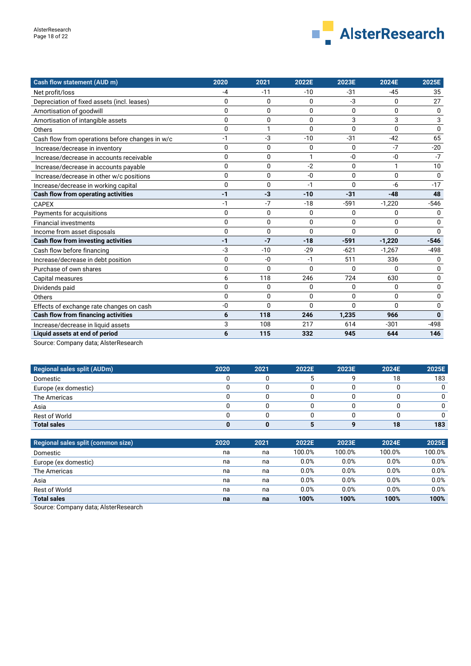

| Cash flow statement (AUD m)                     | 2020     | 2021         | 2022E        | 2023E        | 2024E        | 2025E    |
|-------------------------------------------------|----------|--------------|--------------|--------------|--------------|----------|
| Net profit/loss                                 | -4       | $-11$        | $-10$        | -31          | -45          | 35       |
| Depreciation of fixed assets (incl. leases)     | 0        | 0            | 0            | -3           | 0            | 27       |
| Amortisation of goodwill                        | 0        | $\mathbf{0}$ | $\Omega$     | $\mathbf{0}$ | $\mathbf{0}$ | 0        |
| Amortisation of intangible assets               | 0        | 0            | $\Omega$     | 3            | 3            | 3        |
| Others                                          | 0        | 1            | $\Omega$     | $\mathbf{0}$ | $\mathbf{0}$ | $\Omega$ |
| Cash flow from operations before changes in w/c | $-1$     | -3           | $-10$        | $-31$        | $-42$        | 65       |
| Increase/decrease in inventory                  | $\Omega$ | 0            | 0            | $\Omega$     | $-7$         | $-20$    |
| Increase/decrease in accounts receivable        | 0        | 0            | 1            | -0           | -0           | $-7$     |
| Increase/decrease in accounts payable           | 0        | $\mathbf{0}$ | $-2$         | $\mathbf 0$  | 1            | 10       |
| Increase/decrease in other w/c positions        | 0        | 0            | -0           | $\Omega$     | 0            | $\Omega$ |
| Increase/decrease in working capital            | 0        | 0            | $-1$         | $\Omega$     | -6           | $-17$    |
| Cash flow from operating activities             | $-1$     | $-3$         | $-10$        | $-31$        | $-48$        | 48       |
| <b>CAPEX</b>                                    | $-1$     | $-7$         | $-18$        | $-591$       | $-1,220$     | $-546$   |
| Payments for acquisitions                       | $\Omega$ | 0            | 0            | 0            | 0            | 0        |
| <b>Financial investments</b>                    | 0        | $\mathbf{0}$ | $\Omega$     | $\Omega$     | $\Omega$     | 0        |
| Income from asset disposals                     | $\Omega$ | 0            | $\Omega$     | $\Omega$     | $\Omega$     | $\Omega$ |
| <b>Cash flow from investing activities</b>      | $-1$     | $-7$         | $-18$        | $-591$       | $-1,220$     | $-546$   |
| Cash flow before financing                      | $-3$     | $-10$        | $-29$        | $-621$       | $-1,267$     | $-498$   |
| Increase/decrease in debt position              | $\Omega$ | $-0$         | $-1$         | 511          | 336          | 0        |
| Purchase of own shares                          | 0        | 0            | $\mathbf{0}$ | $\mathbf{0}$ | $\mathbf{0}$ | 0        |
| Capital measures                                | 6        | 118          | 246          | 724          | 630          | 0        |
| Dividends paid                                  | 0        | 0            | $\Omega$     | $\mathbf 0$  | 0            | 0        |
| Others                                          | 0        | 0            | $\Omega$     | $\Omega$     | 0            | 0        |
| Effects of exchange rate changes on cash        | -0       | 0            | $\Omega$     | $\Omega$     | $\Omega$     | 0        |
| <b>Cash flow from financing activities</b>      | 6        | 118          | 246          | 1,235        | 966          | $\Omega$ |
| Increase/decrease in liquid assets              | 3        | 108          | 217          | 614          | $-301$       | -498     |
| Liquid assets at end of period                  | 6        | 115          | 332          | 945          | 644          | 146      |
|                                                 |          |              |              |              |              |          |

Source: Company data; AlsterResearch

| <b>Regional sales split (AUDm)</b> | 2020 | 2021 | 2022E | 2023E | 2024E | 2025E |
|------------------------------------|------|------|-------|-------|-------|-------|
| Domestic                           |      |      |       |       | 18    | 183   |
| Europe (ex domestic)               |      |      |       |       |       |       |
| The Americas                       |      |      |       |       |       |       |
| Asia                               |      |      |       |       |       |       |
| Rest of World                      |      |      |       |       |       |       |
| <b>Total sales</b>                 |      |      |       |       | 18    | 183   |

| Regional sales split (common size) | 2020 | 2021 | 2022E  | 2023E  | 2024E  | 2025E  |
|------------------------------------|------|------|--------|--------|--------|--------|
| Domestic                           | na   | na   | 100.0% | 100.0% | 100.0% | 100.0% |
| Europe (ex domestic)               | na   | na   | 0.0%   | 0.0%   | 0.0%   | 0.0%   |
| The Americas                       | na   | na   | 0.0%   | 0.0%   | 0.0%   | 0.0%   |
| Asia                               | na   | na   | 0.0%   | 0.0%   | 0.0%   | 0.0%   |
| <b>Rest of World</b>               | na   | na   | 0.0%   | 0.0%   | 0.0%   | 0.0%   |
| <b>Total sales</b>                 | na   | na   | 100%   | 100%   | 100%   | 100%   |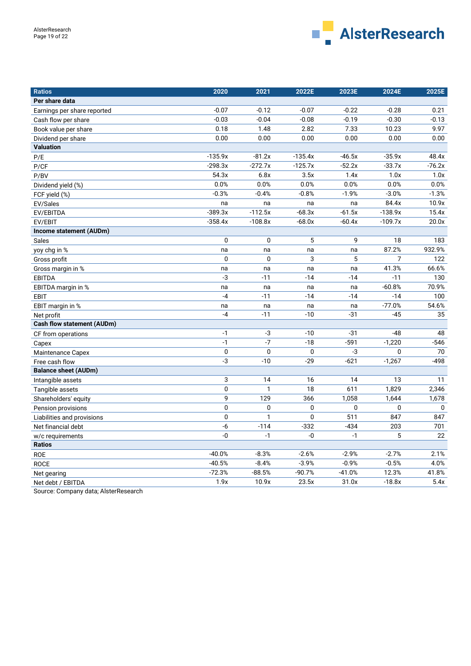

| <b>Ratios</b>                     | 2020        | 2021            | 2022E       | 2023E            | 2024E     | 2025E       |
|-----------------------------------|-------------|-----------------|-------------|------------------|-----------|-------------|
| Per share data                    |             |                 |             |                  |           |             |
| Earnings per share reported       | $-0.07$     | $-0.12$         | $-0.07$     | $-0.22$          | $-0.28$   | 0.21        |
| Cash flow per share               | $-0.03$     | $-0.04$         | $-0.08$     | $-0.19$          | $-0.30$   | $-0.13$     |
| Book value per share              | 0.18        | 1.48            | 2.82        | 7.33             | 10.23     | 9.97        |
| Dividend per share                | 0.00        | 0.00            | 0.00        | 0.00             | 0.00      | 0.00        |
| <b>Valuation</b>                  |             |                 |             |                  |           |             |
| P/E                               | $-135.9x$   | $-81.2x$        | $-135.4x$   | $-46.5x$         | $-35.9x$  | 48.4x       |
| P/CF                              | $-298.3x$   | $-272.7x$       | $-125.7x$   | $-52.2x$         | $-33.7x$  | $-76.2x$    |
| P/BV                              | 54.3x       | 6.8x            | 3.5x        | 1.4x             | 1.0x      | 1.0x        |
| Dividend yield (%)                | 0.0%        | 0.0%            | 0.0%        | 0.0%             | 0.0%      | 0.0%        |
| FCF yield (%)                     | $-0.3%$     | $-0.4%$         | $-0.8%$     | $-1.9%$          | $-3.0%$   | $-1.3%$     |
| EV/Sales                          | na          | na              | na          | na               | 84.4x     | 10.9x       |
| EV/EBITDA                         | $-389.3x$   | $-112.5x$       | $-68.3x$    | $-61.5x$         | $-138.9x$ | 15.4x       |
| EV/EBIT                           | $-358.4x$   | $-108.8x$       | $-68.0x$    | $-60.4x$         | $-109.7x$ | 20.0x       |
| Income statement (AUDm)           |             |                 |             |                  |           |             |
| Sales                             | 0           | 0               | 5           | 9                | 18        | 183         |
| yoy chg in %                      | na          | na              | na          | na               | 87.2%     | 932.9%      |
| Gross profit                      | 0           | $\mathbf 0$     | 3           | 5                | 7         | 122         |
| Gross margin in %                 | na          | na              | na          | na               | 41.3%     | 66.6%       |
| <b>EBITDA</b>                     | $-3$        | $-11$           | $-14$       | $-14$            | $-11$     | 130         |
| EBITDA margin in %                | na          | na              | na          | na               | $-60.8%$  | 70.9%       |
| <b>EBIT</b>                       | $-4$        | $-11$           | $-14$       | $-14$            | $-14$     | 100         |
| EBIT margin in %                  | na          | na              | na          | na               | $-77.0%$  | 54.6%       |
| Net profit                        | $-4$        | $-11$           | $-10$       | $-31$            | $-45$     | 35          |
| <b>Cash flow statement (AUDm)</b> |             |                 |             |                  |           |             |
| CF from operations                | $-1$        | -3              | $-10$       | $-31$            | $-48$     | 48          |
| Capex                             | $-1$        | $\overline{-7}$ | $-18$       | $-591$           | $-1,220$  | $-546$      |
| Maintenance Capex                 | $\mathbf 0$ | 0               | 0           | -3               | 0         | 70          |
| Free cash flow                    | $-3$        | $-10$           | $-29$       | $-621$           | $-1,267$  | $-498$      |
| <b>Balance sheet (AUDm)</b>       |             |                 |             |                  |           |             |
| Intangible assets                 | 3           | 14              | 16          | 14               | 13        | 11          |
| Tangible assets                   | 0           | 1               | 18          | 611              | 1,829     | 2,346       |
| Shareholders' equity              | 9           | 129             | 366         | 1,058            | 1,644     | 1,678       |
| Pension provisions                | 0           | 0               | 0           | $\mathbf 0$      | 0         | $\mathbf 0$ |
| Liabilities and provisions        | 0           | $\mathbf{1}$    | $\mathbf 0$ | $\overline{511}$ | 847       | 847         |
| Net financial debt                | $-6$        | $-114$          | $-332$      | $-434$           | 203       | 701         |
| w/c requirements                  | -0          | $-1$            | -0          | $-1$             | 5         | 22          |
| <b>Ratios</b>                     |             |                 |             |                  |           |             |
| <b>ROE</b>                        | $-40.0%$    | $-8.3%$         | $-2.6%$     | $-2.9%$          | $-2.7%$   | 2.1%        |
| <b>ROCE</b>                       | $-40.5%$    | $-8.4%$         | $-3.9%$     | $-0.9%$          | $-0.5%$   | 4.0%        |
| Net gearing                       | $-72.3%$    | $-88.5%$        | $-90.7%$    | $-41.0%$         | 12.3%     | 41.8%       |
| Net debt / EBITDA                 | 1.9x        | 10.9x           | 23.5x       | 31.0x            | $-18.8x$  | 5.4x        |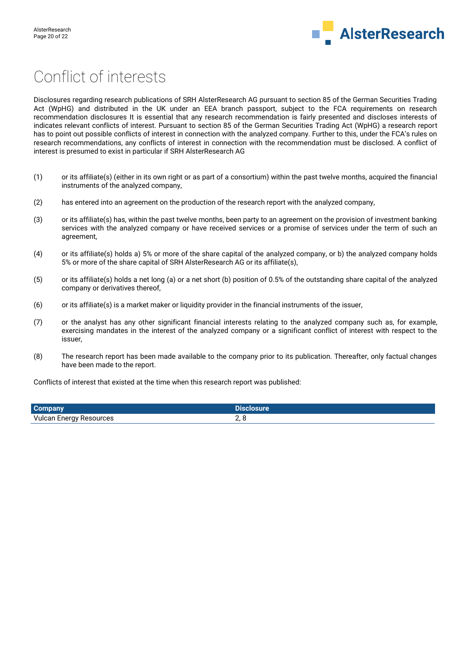

# Conflict of interests

Disclosures regarding research publications of SRH AlsterResearch AG pursuant to section 85 of the German Securities Trading Act (WpHG) and distributed in the UK under an EEA branch passport, subject to the FCA requirements on research recommendation disclosures It is essential that any research recommendation is fairly presented and discloses interests of indicates relevant conflicts of interest. Pursuant to section 85 of the German Securities Trading Act (WpHG) a research report has to point out possible conflicts of interest in connection with the analyzed company. Further to this, under the FCA's rules on research recommendations, any conflicts of interest in connection with the recommendation must be disclosed. A conflict of interest is presumed to exist in particular if SRH AlsterResearch AG

- (1) or its affiliate(s) (either in its own right or as part of a consortium) within the past twelve months, acquired the financial instruments of the analyzed company,
- (2) has entered into an agreement on the production of the research report with the analyzed company,
- (3) or its affiliate(s) has, within the past twelve months, been party to an agreement on the provision of investment banking services with the analyzed company or have received services or a promise of services under the term of such an agreement,
- (4) or its affiliate(s) holds a) 5% or more of the share capital of the analyzed company, or b) the analyzed company holds 5% or more of the share capital of SRH AlsterResearch AG or its affiliate(s),
- (5) or its affiliate(s) holds a net long (a) or a net short (b) position of 0.5% of the outstanding share capital of the analyzed company or derivatives thereof,
- (6) or its affiliate(s) is a market maker or liquidity provider in the financial instruments of the issuer,
- (7) or the analyst has any other significant financial interests relating to the analyzed company such as, for example, exercising mandates in the interest of the analyzed company or a significant conflict of interest with respect to the issuer,
- (8) The research report has been made available to the company prior to its publication. Thereafter, only factual changes have been made to the report.

Conflicts of interest that existed at the time when this research report was published:

| <b>Company</b>                 | <b>Alosure</b> |
|--------------------------------|----------------|
| <b>Vulcan Energy Resources</b> |                |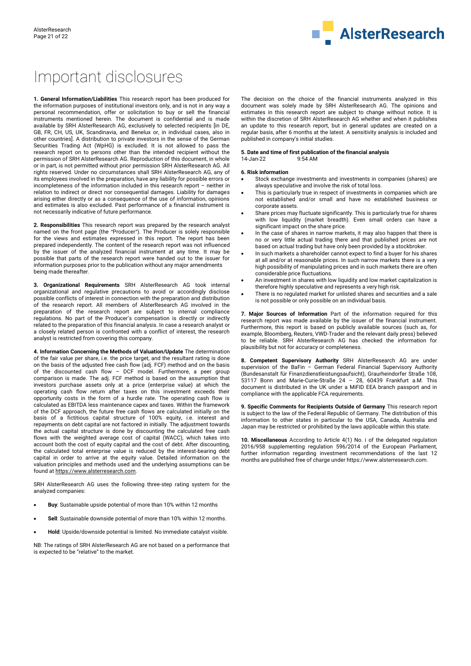

# Important disclosures

**1. General Information/Liabilities** This research report has been produced for the information purposes of institutional investors only, and is not in any way a personal recommendation, offer or solicitation to buy or sell the financial instruments mentioned herein. The document is confidential and is made available by SRH AlsterResearch AG, exclusively to selected recipients [in DE, GB, FR, CH, US, UK, Scandinavia, and Benelux or, in individual cases, also in other countries]. A distribution to private investors in the sense of the German Securities Trading Act (WpHG) is excluded. It is not allowed to pass the research report on to persons other than the intended recipient without the permission of SRH AlsterResearch AG. Reproduction of this document, in whole or in part, is not permitted without prior permission SRH AlsterResearch AG. All rights reserved. Under no circumstances shall SRH AlsterResearch AG, any of its employees involved in the preparation, have any liability for possible errors or incompleteness of the information included in this research report – neither in relation to indirect or direct nor consequential damages. Liability for damages arising either directly or as a consequence of the use of information, opinions and estimates is also excluded. Past performance of a financial instrument is not necessarily indicative of future performance.

**2. Responsibilities** This research report was prepared by the research analyst named on the front page (the "Producer"). The Producer is solely responsible for the views and estimates expressed in this report. The report has been prepared independently. The content of the research report was not influenced by the issuer of the analyzed financial instrument at any time. It may be possible that parts of the research report were handed out to the issuer for information purposes prior to the publication without any major amendments being made thereafter.

**3. Organizational Requirements** SRH AlsterResearch AG took internal organizational and regulative precautions to avoid or accordingly disclose possible conflicts of interest in connection with the preparation and distribution of the research report. All members of AlsterResearch AG involved in the preparation of the research report are subject to internal compliance regulations. No part of the Producer's compensation is directly or indirectly related to the preparation of this financial analysis. In case a research analyst or a closely related person is confronted with a conflict of interest, the research analyst is restricted from covering this company.

**4. Information Concerning the Methods of Valuation/Update** The determination of the fair value per share, i.e. the price target, and the resultant rating is done on the basis of the adjusted free cash flow (adj. FCF) method and on the basis of the discounted cash flow – DCF model. Furthermore, a peer group comparison is made. The adj. FCF method is based on the assumption that investors purchase assets only at a price (enterprise value) at which the operating cash flow return after taxes on this investment exceeds their opportunity costs in the form of a hurdle rate. The operating cash flow is calculated as EBITDA less maintenance capex and taxes. Within the framework of the DCF approach, the future free cash flows are calculated initially on the basis of a fictitious capital structure of 100% equity, i.e. interest and repayments on debt capital are not factored in initially. The adjustment towards the actual capital structure is done by discounting the calculated free cash flows with the weighted average cost of capital (WACC), which takes into account both the cost of equity capital and the cost of debt. After discounting, the calculated total enterprise value is reduced by the interest-bearing debt capital in order to arrive at the equity value. Detailed information on the valuation principles and methods used and the underlying assumptions can be found a[t https://www.alsterresearch.com.](https://www.alsterresearch.com/) 

SRH AlsterResearch AG uses the following three-step rating system for the analyzed companies:

- **Buy**: Sustainable upside potential of more than 10% within 12 months
- **Sell**: Sustainable downside potential of more than 10% within 12 months.
- **Hold**: Upside/downside potential is limited. No immediate catalyst visible.

NB: The ratings of SRH AlsterResearch AG are not based on a performance that is expected to be "relative" to the market.

The decision on the choice of the financial instruments analyzed in this document was solely made by SRH AlsterResearch AG. The opinions and estimates in this research report are subject to change without notice. It is within the discretion of SRH AlsterResearch AG whether and when it publishes an update to this research report, but in general updates are created on a regular basis, after 6 months at the latest. A sensitivity analysis is included and published in company's initial studies.

#### **5. Date and time of first publication of the financial analysis**  $14$ -Jan- $22$

#### **6. Risk information**

- Stock exchange investments and investments in companies (shares) are always speculative and involve the risk of total loss.
- This is particularly true in respect of investments in companies which are not established and/or small and have no established business or corporate assets.
- Share prices may fluctuate significantly. This is particularly true for shares with low liquidity (market breadth). Even small orders can have a significant impact on the share price.
- In the case of shares in narrow markets, it may also happen that there is no or very little actual trading there and that published prices are not based on actual trading but have only been provided by a stockbroker.
- In such markets a shareholder cannot expect to find a buyer for his shares at all and/or at reasonable prices. In such narrow markets there is a very high possibility of manipulating prices and in such markets there are often considerable price fluctuations.
- An investment in shares with low liquidity and low market capitalization is therefore highly speculative and represents a very high risk.
- There is no regulated market for unlisted shares and securities and a sale is not possible or only possible on an individual basis.

**7. Major Sources of Information** Part of the information required for this research report was made available by the issuer of the financial instrument. Furthermore, this report is based on publicly available sources (such as, for example, Bloomberg, Reuters, VWD-Trader and the relevant daily press) believed to be reliable. SRH AlsterResearch AG has checked the information for plausibility but not for accuracy or completeness.

**8. Competent Supervisory Authority** SRH AlsterResearch AG are under supervision of the BaFin – German Federal Financial Supervisory Authority (Bundesanstalt für Finanzdienstleistungsaufsicht), Graurheindorfer Straße 108, 53117 Bonn and Marie-Curie-Straße 24 – 28, 60439 Frankfurt a.M. This document is distributed in the UK under a MiFID EEA branch passport and in compliance with the applicable FCA requirements.

**9. Specific Comments for Recipients Outside of Germany** This research report is subject to the law of the Federal Republic of Germany. The distribution of this information to other states in particular to the USA, Canada, Australia and Japan may be restricted or prohibited by the laws applicable within this state.

**10. Miscellaneous** According to Article 4(1) No. i of the delegated regulation 2016/958 supplementing regulation 596/2014 of the European Parliament, further information regarding investment recommendations of the last 12 months are published free of charge under https://www.alsterresearch.com.